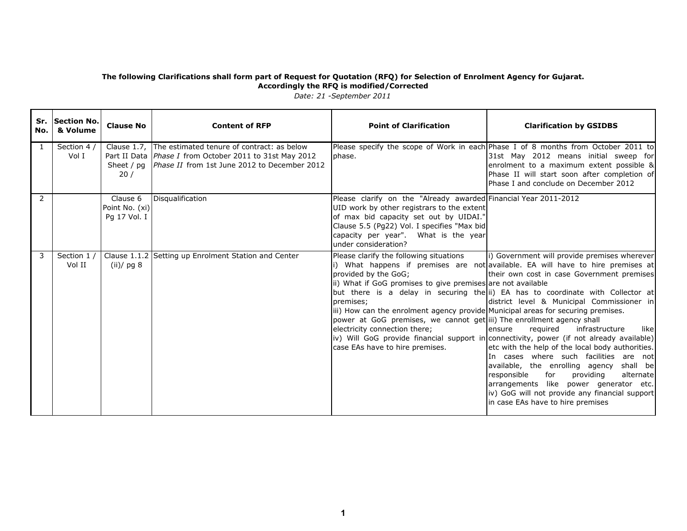| No. l | Sr. Section No.<br>& Volume | <b>Clause No</b>                           | <b>Content of RFP</b>                                                                                                                                               | <b>Point of Clarification</b>                                                                                                                                                                                                                                                                                                                                                | <b>Clarification by GSIDBS</b>                                                                                                                                                                                                                                                                                                                                                                                                                                                                                                                                                                                                                                                                                                                                                         |
|-------|-----------------------------|--------------------------------------------|---------------------------------------------------------------------------------------------------------------------------------------------------------------------|------------------------------------------------------------------------------------------------------------------------------------------------------------------------------------------------------------------------------------------------------------------------------------------------------------------------------------------------------------------------------|----------------------------------------------------------------------------------------------------------------------------------------------------------------------------------------------------------------------------------------------------------------------------------------------------------------------------------------------------------------------------------------------------------------------------------------------------------------------------------------------------------------------------------------------------------------------------------------------------------------------------------------------------------------------------------------------------------------------------------------------------------------------------------------|
| -1    | Section 4 $/$<br>Vol I      | Clause 1.7,<br>Sheet $/$ pa<br>20/         | The estimated tenure of contract: as below<br>Part II Data <i>Phase I</i> from October 2011 to 31st May 2012<br><i>Phase II</i> from 1st June 2012 to December 2012 | phase.                                                                                                                                                                                                                                                                                                                                                                       | Please specify the scope of Work in each Phase I of 8 months from October 2011 to<br>31st May 2012 means initial sweep for<br>enrolment to a maximum extent possible &<br>Phase II will start soon after completion of<br>Phase I and conclude on December 2012                                                                                                                                                                                                                                                                                                                                                                                                                                                                                                                        |
| 2     |                             | Clause 6<br>Point No. (xi)<br>Pg 17 Vol. I | Disqualification                                                                                                                                                    | Please clarify on the "Already awarded Financial Year 2011-2012<br>UID work by other registrars to the extent<br>of max bid capacity set out by UIDAI."<br>Clause 5.5 (Pg22) Vol. I specifies "Max bid<br>capacity per year". What is the year<br>under consideration?                                                                                                       |                                                                                                                                                                                                                                                                                                                                                                                                                                                                                                                                                                                                                                                                                                                                                                                        |
| 3     | Section 1 /<br>Vol II       | Clause 1.1.2<br>(ii)/pg 8                  | Setting up Enrolment Station and Center                                                                                                                             | Please clarify the following situations<br>provided by the GoG;<br>ii) What if GoG promises to give premises are not available<br>premises;<br>iii) How can the enrolment agency provide Municipal areas for securing premises.<br>power at GoG premises, we cannot get iii) The enrollment agency shall<br>electricity connection there;<br>case EAs have to hire premises. | i) Government will provide premises wherever<br>i) What happens if premises are not available. EA will have to hire premises at<br>their own cost in case Government premises<br>but there is a delay in securing the ii) EA has to coordinate with Collector at<br>district level & Municipal Commissioner in<br>ensure<br>reguired<br>infrastructure<br>likel<br>iv) Will GoG provide financial support in connectivity, power (if not already available)<br>etc with the help of the local body authorities.<br>In cases where such facilities are not<br>available, the enrolling agency shall be<br>responsible<br>for<br>providing<br>alternate<br>arrangements like power generator etc.<br>iv) GoG will not provide any financial support<br>in case EAs have to hire premises |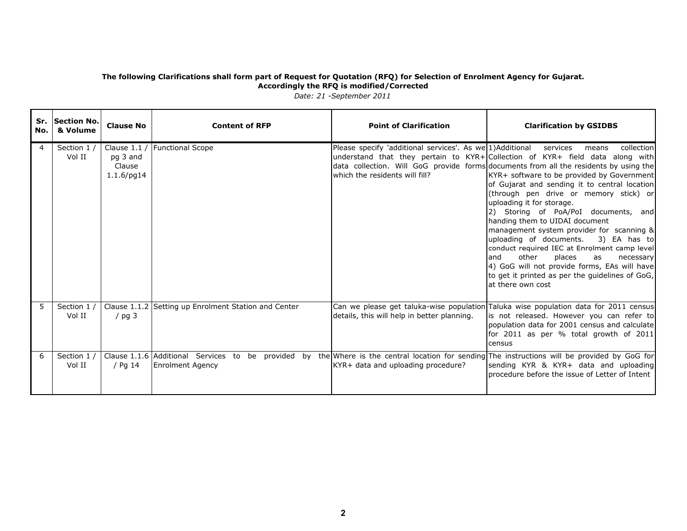| No. l | Sr. Section No.<br>& Volume | <b>Clause No</b>                                     | <b>Content of RFP</b>                                                                                                                                                    | <b>Point of Clarification</b>                                                                        | <b>Clarification by GSIDBS</b>                                                                                                                                                                                                                                                                                                                                                                                                                                                                                                                                                                                                                                                                                                                             |
|-------|-----------------------------|------------------------------------------------------|--------------------------------------------------------------------------------------------------------------------------------------------------------------------------|------------------------------------------------------------------------------------------------------|------------------------------------------------------------------------------------------------------------------------------------------------------------------------------------------------------------------------------------------------------------------------------------------------------------------------------------------------------------------------------------------------------------------------------------------------------------------------------------------------------------------------------------------------------------------------------------------------------------------------------------------------------------------------------------------------------------------------------------------------------------|
| 4     | Section 1 /<br>Vol II       | Clause $1.1/$<br>pg 3 and<br>Clause<br>$1.1.6$ /pg14 | <b>Functional Scope</b>                                                                                                                                                  | Please specify 'additional services'. As we 1) Additional services<br>which the residents will fill? | collection<br>means<br>understand that they pertain to KYR+ Collection of KYR+ field data along with<br>data collection. Will GoG provide forms documents from all the residents by using the<br>KYR+ software to be provided by Government<br>of Gujarat and sending it to central location<br>(through pen drive or memory stick) or<br>uploading it for storage.<br>2) Storing of PoA/PoI documents, and<br>handing them to UIDAI document<br>management system provider for scanning &<br>uploading of documents.<br>3) EA has to<br>conduct required IEC at Enrolment camp level<br>and<br>other<br>places<br>as<br>necessary<br>4) GoG will not provide forms, EAs will have<br>to get it printed as per the quidelines of GoG,<br>at there own cost |
| 5     | Section 1 /<br>Vol II       | / $pg$ 3                                             | Clause 1.1.2 Setting up Enrolment Station and Center                                                                                                                     | details, this will help in better planning.                                                          | Can we please get taluka-wise population Taluka wise population data for 2011 census<br>is not released. However you can refer to<br>population data for 2001 census and calculate<br>for 2011 as per % total growth of 2011<br>census                                                                                                                                                                                                                                                                                                                                                                                                                                                                                                                     |
| 6     | Section 1 /<br>Vol II       | / Pg 14                                              | Clause 1.1.6 Additional Services to be provided by the Where is the central location for sending The instructions will be provided by GoG for<br><b>Enrolment Agency</b> | KYR+ data and uploading procedure?                                                                   | sending KYR & KYR+ data and uploading<br>procedure before the issue of Letter of Intent                                                                                                                                                                                                                                                                                                                                                                                                                                                                                                                                                                                                                                                                    |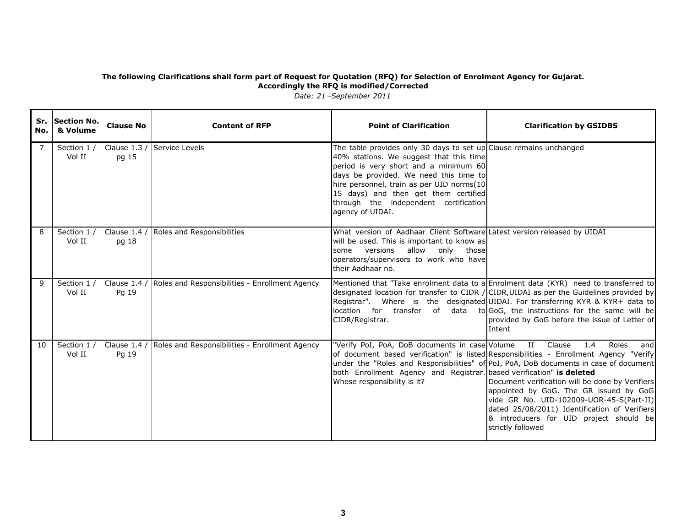| No. | Sr. Section No.<br>& Volume | <b>Clause No</b> | <b>Content of RFP</b>                                       | <b>Point of Clarification</b>                                                                                                                                                                                                                                                                                                                      | <b>Clarification by GSIDBS</b>                                                                                                                                                                                                                                                                                                                                                                                                                                   |
|-----|-----------------------------|------------------|-------------------------------------------------------------|----------------------------------------------------------------------------------------------------------------------------------------------------------------------------------------------------------------------------------------------------------------------------------------------------------------------------------------------------|------------------------------------------------------------------------------------------------------------------------------------------------------------------------------------------------------------------------------------------------------------------------------------------------------------------------------------------------------------------------------------------------------------------------------------------------------------------|
| 7   | Section 1 /<br>Vol II       | pg 15            | Clause 1.3 / Service Levels                                 | The table provides only 30 days to set up Clause remains unchanged<br>40% stations. We suggest that this time<br>period is very short and a minimum 60<br>days be provided. We need this time to<br>hire personnel, train as per UID norms(10<br>15 days) and then get them certified<br>through the independent certification<br>agency of UIDAI. |                                                                                                                                                                                                                                                                                                                                                                                                                                                                  |
| 8   | Section 1/<br>Vol II        | pg 18            | Clause 1.4 / Roles and Responsibilities                     | What version of Aadhaar Client Software Latest version released by UIDAI<br>will be used. This is important to know as<br>some versions allow only those<br>operators/supervisors to work who have<br>their Aadhaar no.                                                                                                                            |                                                                                                                                                                                                                                                                                                                                                                                                                                                                  |
| 9   | Section 1 /<br>Vol II       | Pg 19            | Clause 1.4 / Roles and Responsibilities - Enrollment Agency | CIDR/Registrar.                                                                                                                                                                                                                                                                                                                                    | Mentioned that "Take enrolment data to a Enrolment data (KYR) need to transferred to<br>designated location for transfer to CIDR / CIDR, UIDAI as per the Guidelines provided by<br>Registrar". Where is the designated UIDAI. For transferring KYR & KYR+ data to<br>location for transfer of data to GoG, the instructions for the same will be<br>provided by GoG before the issue of Letter of<br>Intent                                                     |
| 10  | Section 1 /<br>Vol II       | Pg 19            | Clause 1.4 / Roles and Responsibilities - Enrollment Agency | "Verify PoI, PoA, DoB documents in case Volume II Clause<br>both Enrollment Agency and Registrar. based verification" is deleted<br>Whose responsibility is it?                                                                                                                                                                                    | 1.4<br>Roles<br>and<br>of document based verification" is listed Responsibilities - Enrollment Agency "Verify<br>under the "Roles and Responsibilities" of PoI, PoA, DoB documents in case of document<br>Document verification will be done by Verifiers<br>appointed by GoG. The GR issued by GoG<br>vide GR No. UID-102009-UOR-45-S(Part-II)<br>dated 25/08/2011) Identification of Verifiers<br>& introducers for UID project should be<br>strictly followed |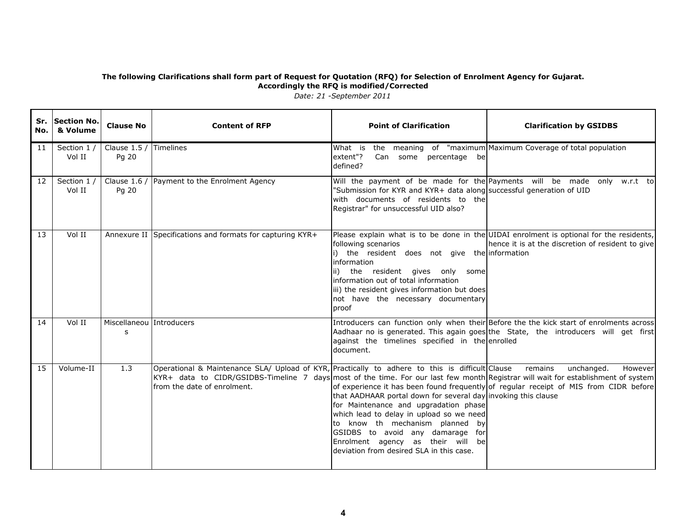| No. | Sr. Section No.<br>& Volume | <b>Clause No</b>                | <b>Content of RFP</b>                                                                                                                                                                                                                                                       | <b>Point of Clarification</b>                                                                                                                                                                                                                                                                                  | <b>Clarification by GSIDBS</b>                                                                                                                                                |
|-----|-----------------------------|---------------------------------|-----------------------------------------------------------------------------------------------------------------------------------------------------------------------------------------------------------------------------------------------------------------------------|----------------------------------------------------------------------------------------------------------------------------------------------------------------------------------------------------------------------------------------------------------------------------------------------------------------|-------------------------------------------------------------------------------------------------------------------------------------------------------------------------------|
| 11  | Section 1 /<br>Vol II       | Clause 1.5 / Timelines<br>Pg 20 |                                                                                                                                                                                                                                                                             | What is<br>extent"?<br>Can some percentage be<br>defined?                                                                                                                                                                                                                                                      | the meaning of "maximum Maximum Coverage of total population                                                                                                                  |
| 12  | Section 1 /<br>Vol II       | Clause $1.6/$<br>Pg 20          | Payment to the Enrolment Agency                                                                                                                                                                                                                                             | "Submission for KYR and KYR+ data along successful generation of UID<br>with documents of residents to the<br>Registrar" for unsuccessful UID also?                                                                                                                                                            | Will the payment of be made for the Payments will be made only w.r.t to                                                                                                       |
| 13  | Vol II                      |                                 | Annexure II Specifications and formats for capturing KYR+                                                                                                                                                                                                                   | following scenarios<br>i) the resident does not give the information<br>information<br>ii) the resident gives only some<br>information out of total information<br>iii) the resident gives information but does<br>not have the necessary documentary<br>proof                                                 | Please explain what is to be done in the UIDAI enrolment is optional for the residents,<br>hence it is at the discretion of resident to give                                  |
| 14  | Vol II                      | Miscellaneou Introducers<br>s   |                                                                                                                                                                                                                                                                             | against the timelines specified in the enrolled<br>document.                                                                                                                                                                                                                                                   | Introducers can function only when their Before the the kick start of enrolments across<br>Aadhaar no is generated. This again goes the State, the introducers will get first |
| 15  | Volume-II                   | 1.3                             | Operational & Maintenance SLA/ Upload of KYR, Practically to adhere to this is difficult Clause remains<br>KYR+ data to CIDR/GSIDBS-Timeline 7 days most of the time. For our last few month Registrar will wait for establishment of system<br>from the date of enrolment. | that AADHAAR portal down for several day invoking this clause<br>for Maintenance and upgradation phase<br>which lead to delay in upload so we need<br>to know th mechanism planned<br>byl<br>GSIDBS to avoid any damarage for<br>Enrolment agency as their will be<br>deviation from desired SLA in this case. | unchanged.<br>However<br>of experience it has been found frequently of regular receipt of MIS from CIDR before                                                                |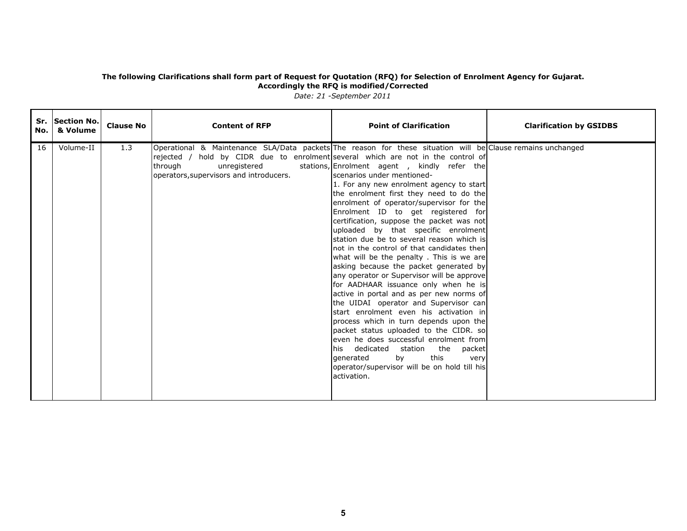| No. | Sr. Section No.<br>& Volume | <b>Clause No</b> | <b>Content of RFP</b>                                                                                                                                                                                                                                                | <b>Point of Clarification</b>                                                                                                                                                                                                                                                                                                                                                                                                                                                                                                                                                                                                                                                                                                                                                                                                                                                                                                                                                                                       | <b>Clarification by GSIDBS</b> |
|-----|-----------------------------|------------------|----------------------------------------------------------------------------------------------------------------------------------------------------------------------------------------------------------------------------------------------------------------------|---------------------------------------------------------------------------------------------------------------------------------------------------------------------------------------------------------------------------------------------------------------------------------------------------------------------------------------------------------------------------------------------------------------------------------------------------------------------------------------------------------------------------------------------------------------------------------------------------------------------------------------------------------------------------------------------------------------------------------------------------------------------------------------------------------------------------------------------------------------------------------------------------------------------------------------------------------------------------------------------------------------------|--------------------------------|
| 16  | Volume-II                   | 1.3              | Operational & Maintenance SLA/Data packets The reason for these situation will be Clause remains unchanged<br>rejected / hold by CIDR due to enrolment several which are not in the control of<br>through<br>unregistered<br>operators, supervisors and introducers. | stations, Enrolment agent , kindly refer the<br>lscenarios under mentioned-<br>1. For any new enrolment agency to start<br>the enrolment first they need to do the<br>enrolment of operator/supervisor for the<br>Enrolment ID to get registered for<br>certification, suppose the packet was not<br>uploaded by that specific enrolment<br>station due be to several reason which is<br>not in the control of that candidates then<br>what will be the penalty. This is we are<br>asking because the packet generated by<br>any operator or Supervisor will be approve<br>for AADHAAR issuance only when he is<br>active in portal and as per new norms of<br>the UIDAI operator and Supervisor can<br>start enrolment even his activation in<br>process which in turn depends upon the<br>packet status uploaded to the CIDR. so<br>even he does successful enrolment from<br>his dedicated station the packet<br>this<br>by<br>generated<br>very<br>operator/supervisor will be on hold till his<br>lactivation. |                                |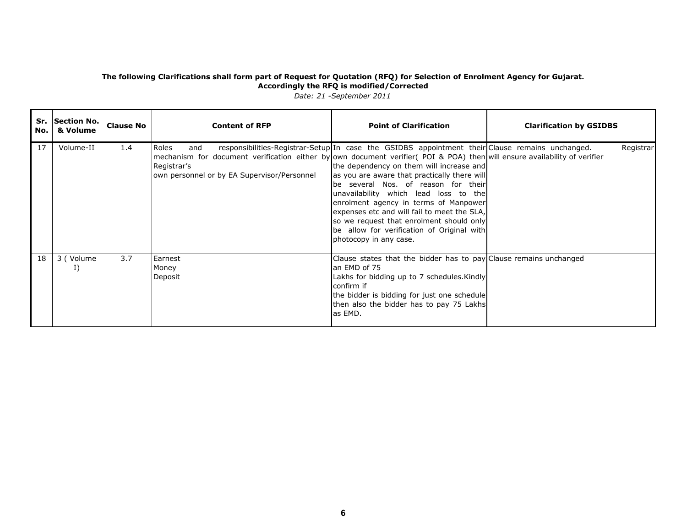| No. | Sr. Section No.<br>& Volume | <b>Clause No</b> | <b>Content of RFP</b>                                                                                                                                                                                  | <b>Point of Clarification</b>                                                                                                                                                                                                                                                                                                                                                                                                                                                            | <b>Clarification by GSIDBS</b> |  |
|-----|-----------------------------|------------------|--------------------------------------------------------------------------------------------------------------------------------------------------------------------------------------------------------|------------------------------------------------------------------------------------------------------------------------------------------------------------------------------------------------------------------------------------------------------------------------------------------------------------------------------------------------------------------------------------------------------------------------------------------------------------------------------------------|--------------------------------|--|
| 17  | Volume-II                   | 1.4              | Roles<br>and<br>mechanism for document verification either byown document verifier (POI & POA) then will ensure availability of verifier<br>Registrar's<br>own personnel or by EA Supervisor/Personnel | responsibilities-Registrar-Setup In case the GSIDBS appointment their Clause remains unchanged.<br>the dependency on them will increase and<br>as you are aware that practically there will<br>lbe several Nos. of reason for their<br>unavailability which lead loss to the<br>enrolment agency in terms of Manpower<br>expenses etc and will fail to meet the SLA,<br>so we request that enrolment should only<br>be allow for verification of Original with<br>photocopy in any case. | <b>Registrar</b>               |  |
| 18  | 3 (Volume<br>I)             | 3.7              | Earnest<br>Money<br>Deposit                                                                                                                                                                            | Clause states that the bidder has to pay Clause remains unchanged<br>an EMD of 75<br>Lakhs for bidding up to 7 schedules. Kindly<br>confirm if<br>the bidder is bidding for just one schedule<br>then also the bidder has to pay 75 Lakhs<br>las EMD.                                                                                                                                                                                                                                    |                                |  |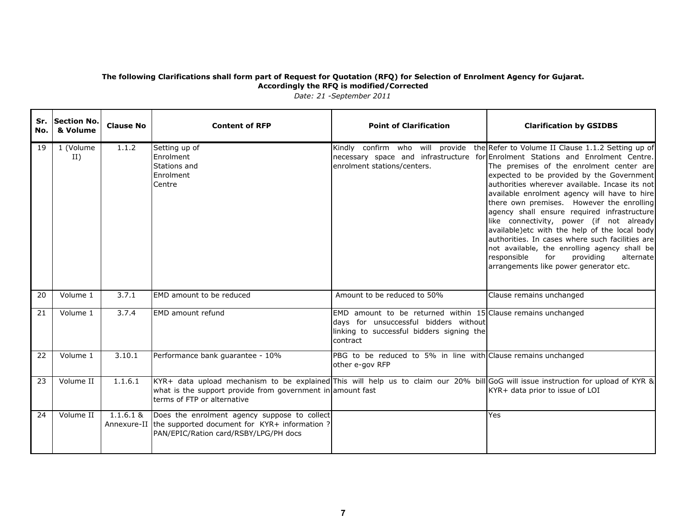| No. | Sr. Section No.<br>& Volume | <b>Clause No</b> | <b>Content of RFP</b>                                                                                                                                                                                                          | <b>Point of Clarification</b>                                                                                                                                    | <b>Clarification by GSIDBS</b>                                                                                                                                                                                                                                                                                                                                                                                                                                                                                                                                                                                                                                                                                                                        |
|-----|-----------------------------|------------------|--------------------------------------------------------------------------------------------------------------------------------------------------------------------------------------------------------------------------------|------------------------------------------------------------------------------------------------------------------------------------------------------------------|-------------------------------------------------------------------------------------------------------------------------------------------------------------------------------------------------------------------------------------------------------------------------------------------------------------------------------------------------------------------------------------------------------------------------------------------------------------------------------------------------------------------------------------------------------------------------------------------------------------------------------------------------------------------------------------------------------------------------------------------------------|
| 19  | 1 (Volume<br>II)            | 1.1.2            | Setting up of<br>Enrolment<br>Stations and<br>Enrolment<br>Centre                                                                                                                                                              | enrolment stations/centers.                                                                                                                                      | Kindly confirm who will provide the Refer to Volume II Clause 1.1.2 Setting up of<br>necessary space and infrastructure for Enrolment Stations and Enrolment Centre.<br>The premises of the enrolment center are<br>expected to be provided by the Government<br>authorities wherever available. Incase its not<br>available enrolment agency will have to hire<br>there own premises. However the enrolling<br>agency shall ensure required infrastructure<br>like connectivity, power (if not already<br>available)etc with the help of the local body<br>authorities. In cases where such facilities are<br>not available, the enrolling agency shall be<br>providing<br>responsible<br>for<br>alternate<br>arrangements like power generator etc. |
| 20  | Volume 1                    | 3.7.1            | EMD amount to be reduced                                                                                                                                                                                                       | Amount to be reduced to 50%                                                                                                                                      | Clause remains unchanged                                                                                                                                                                                                                                                                                                                                                                                                                                                                                                                                                                                                                                                                                                                              |
| 21  | Volume 1                    | 3.7.4            | <b>EMD</b> amount refund                                                                                                                                                                                                       | EMD amount to be returned within $15$ Clause remains unchanged<br>days for unsuccessful bidders without<br>linking to successful bidders signing the<br>contract |                                                                                                                                                                                                                                                                                                                                                                                                                                                                                                                                                                                                                                                                                                                                                       |
| 22  | Volume 1                    | 3.10.1           | Performance bank guarantee - 10%                                                                                                                                                                                               | PBG to be reduced to 5% in line with Clause remains unchanged<br>other e-gov RFP                                                                                 |                                                                                                                                                                                                                                                                                                                                                                                                                                                                                                                                                                                                                                                                                                                                                       |
| 23  | Volume II                   | 1.1.6.1          | KYR+ data upload mechanism to be explained This will help us to claim our 20% bill GoG will issue instruction for upload of KYR &<br>what is the support provide from government in amount fast<br>terms of FTP or alternative |                                                                                                                                                                  | KYR+ data prior to issue of LOI                                                                                                                                                                                                                                                                                                                                                                                                                                                                                                                                                                                                                                                                                                                       |
| 24  | Volume II                   | $1.1.6.1$ &      | Does the enrolment agency suppose to collect<br>Annexure-II the supported document for KYR+ information ?<br>PAN/EPIC/Ration card/RSBY/LPG/PH docs                                                                             |                                                                                                                                                                  | Yes                                                                                                                                                                                                                                                                                                                                                                                                                                                                                                                                                                                                                                                                                                                                                   |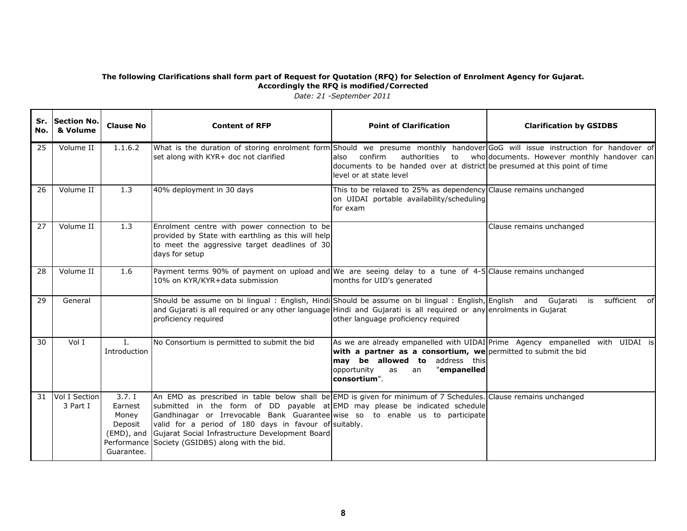| No. | Sr. Section No.<br>& Volume | <b>Clause No</b>                                                                | <b>Content of RFP</b>                                                                                                                                                                                                                                                                                                                                                                                                              | <b>Point of Clarification</b>                                                                                                                              | <b>Clarification by GSIDBS</b>                                                |
|-----|-----------------------------|---------------------------------------------------------------------------------|------------------------------------------------------------------------------------------------------------------------------------------------------------------------------------------------------------------------------------------------------------------------------------------------------------------------------------------------------------------------------------------------------------------------------------|------------------------------------------------------------------------------------------------------------------------------------------------------------|-------------------------------------------------------------------------------|
| 25  | Volume II                   | 1.1.6.2                                                                         | What is the duration of storing enrolment form Should we presume monthly handover GoG will issue instruction for handover of<br>set along with KYR+ doc not clarified                                                                                                                                                                                                                                                              | confirm<br>authorities<br>also<br>documents to be handed over at district be presumed at this point of time<br>level or at state level                     | to who documents. However monthly handover can                                |
| 26  | Volume II                   | 1.3                                                                             | 40% deployment in 30 days                                                                                                                                                                                                                                                                                                                                                                                                          | This to be relaxed to 25% as dependency Clause remains unchanged<br>on UIDAI portable availability/scheduling<br>for exam                                  |                                                                               |
| 27  | Volume II                   | 1.3                                                                             | Enrolment centre with power connection to be<br>provided by State with earthling as this will help<br>to meet the aggressive target deadlines of 30<br>days for setup                                                                                                                                                                                                                                                              |                                                                                                                                                            | Clause remains unchanged                                                      |
| 28  | Volume II                   | 1.6                                                                             | Payment terms 90% of payment on upload and We are seeing delay to a tune of 4-5 Clause remains unchanged<br>10% on KYR/KYR+data submission                                                                                                                                                                                                                                                                                         | months for UID's generated                                                                                                                                 |                                                                               |
| 29  | General                     |                                                                                 | Should be assume on bi lingual: English, Hindi Should be assume on bi lingual: English, English and Gujarati is sufficient of<br>and Gujarati is all required or any other language Hindi and Gujarati is all required or any enrolments in Gujarat<br>proficiency required                                                                                                                                                        | other language proficiency required                                                                                                                        |                                                                               |
| 30  | Vol I                       | $\mathbf{L}$<br><b>Introduction</b>                                             | No Consortium is permitted to submit the bid                                                                                                                                                                                                                                                                                                                                                                                       | with a partner as a consortium, we permitted to submit the bid<br>may be allowed to address this<br>opportunity<br>"empanelled<br>as<br>an<br>consortium". | As we are already empanelled with UIDAI Prime Agency empanelled with UIDAI is |
| 31  | Vol I Section<br>3 Part I   | 3.7.1<br>Earnest<br>Money<br>Deposit<br>(EMD), and<br>Performance<br>Guarantee. | An EMD as prescribed in table below shall be EMD is given for minimum of 7 Schedules. Clause remains unchanged<br>submitted in the form of DD payable at EMD may please be indicated schedule<br>Gandhinagar or Irrevocable Bank Guarantee wise so to enable us to participate<br>valid for a period of 180 days in favour of suitably.<br>Gujarat Social Infrastructure Development Board<br>Society (GSIDBS) along with the bid. |                                                                                                                                                            |                                                                               |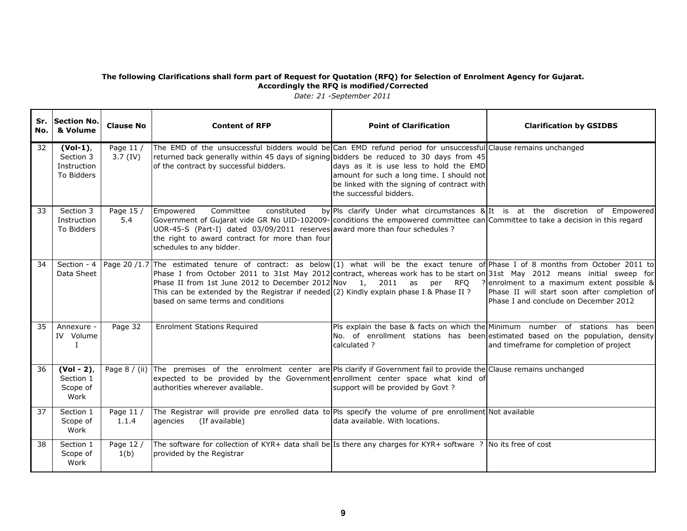| No.             | Sr. Section No.<br>& Volume                         | <b>Clause No</b>     | <b>Content of RFP</b>                                                                                                                                                                                                                                                                                                                                                                                                                                                                                                 | <b>Point of Clarification</b>                                                                                                                                 | <b>Clarification by GSIDBS</b>                                                                                                    |
|-----------------|-----------------------------------------------------|----------------------|-----------------------------------------------------------------------------------------------------------------------------------------------------------------------------------------------------------------------------------------------------------------------------------------------------------------------------------------------------------------------------------------------------------------------------------------------------------------------------------------------------------------------|---------------------------------------------------------------------------------------------------------------------------------------------------------------|-----------------------------------------------------------------------------------------------------------------------------------|
| 32 <sup>2</sup> | $(Vol-1)$<br>Section 3<br>Instruction<br>To Bidders | Page 11 /<br>3.7(IV) | The EMD of the unsuccessful bidders would be Can EMD refund period for unsuccessful Clause remains unchanged<br>returned back generally within 45 days of signing bidders be reduced to 30 days from 45<br>of the contract by successful bidders.                                                                                                                                                                                                                                                                     | days as it is use less to hold the EMD<br>amount for such a long time. I should not<br>be linked with the signing of contract with<br>the successful bidders. |                                                                                                                                   |
| 33              | Section 3<br>Instruction<br>To Bidders              | Page 15 /<br>5.4     | Committee<br>constituted<br>Empowered<br>Government of Gujarat vide GR No UID-102009- conditions the empowered committee can Committee to take a decision in this regard<br>UOR-45-S (Part-I) dated 03/09/2011 reserves award more than four schedules ?<br>the right to award contract for more than four<br>schedules to any bidder.                                                                                                                                                                                |                                                                                                                                                               | by PIs clarify Under what circumstances & It is at the discretion of Empowered                                                    |
| 34              | Section - 4<br>Data Sheet                           |                      | Page 20/1.7 The estimated tenure of contract: as below (1) what will be the exact tenure of Phase I of 8 months from October 2011 to<br>Phase I from October 2011 to 31st May 2012 contract, whereas work has to be start on 31st May 2012 means initial sweep for<br>Phase II from 1st June 2012 to December 2012 Nov 1, 2011 as per RFQ ? enrolment to a maximum extent possible &<br>This can be extended by the Registrar if needed (2) Kindly explain phase I & Phase II ?<br>based on same terms and conditions |                                                                                                                                                               | Phase II will start soon after completion of<br>Phase I and conclude on December 2012                                             |
| 35              | Annexure -<br>IV Volume<br>L                        | Page 32              | <b>Enrolment Stations Required</b>                                                                                                                                                                                                                                                                                                                                                                                                                                                                                    | Pls explain the base & facts on which the Minimum number of stations has<br>calculated?                                                                       | been<br>No. of enrollment stations has been estimated based on the population, density<br>and timeframe for completion of project |
| 36              | $(Vol - 2)$ ,<br>Section 1<br>Scope of<br>Work      |                      | Page 8 / (ii) The premises of the enrolment center are PIs clarify if Government fail to provide the Clause remains unchanged<br>expected to be provided by the Government enrollment center space what kind of<br>authorities wherever available.                                                                                                                                                                                                                                                                    | support will be provided by Govt?                                                                                                                             |                                                                                                                                   |
| 37              | Section 1<br>Scope of<br>Work                       | Page 11 /<br>1.1.4   | The Registrar will provide pre enrolled data to Pls specify the volume of pre enrollment Not available<br>(If available)<br>agencies                                                                                                                                                                                                                                                                                                                                                                                  | data available. With locations.                                                                                                                               |                                                                                                                                   |
| 38              | Section 1<br>Scope of<br>Work                       | Page 12 /<br>1(b)    | The software for collection of KYR+ data shall be Is there any charges for KYR+ software ? No its free of cost<br>provided by the Registrar                                                                                                                                                                                                                                                                                                                                                                           |                                                                                                                                                               |                                                                                                                                   |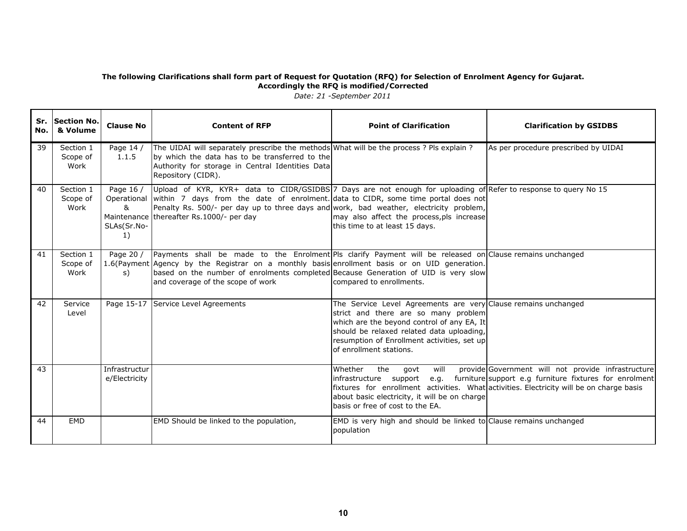| No. I | Sr. Section No.<br>& Volume   | <b>Clause No</b>                    | <b>Content of RFP</b>                                                                                                                                                                                                                                                                                                                                  | <b>Point of Clarification</b>                                                                                                                                                                                                                                               | <b>Clarification by GSIDBS</b>                                                                                                                                                                                |
|-------|-------------------------------|-------------------------------------|--------------------------------------------------------------------------------------------------------------------------------------------------------------------------------------------------------------------------------------------------------------------------------------------------------------------------------------------------------|-----------------------------------------------------------------------------------------------------------------------------------------------------------------------------------------------------------------------------------------------------------------------------|---------------------------------------------------------------------------------------------------------------------------------------------------------------------------------------------------------------|
| 39    | Section 1<br>Scope of<br>Work | Page 14 /<br>1.1.5                  | The UIDAI will separately prescribe the methods What will be the process ? Pls explain ?<br>by which the data has to be transferred to the<br>Authority for storage in Central Identities Data<br>Repository (CIDR).                                                                                                                                   |                                                                                                                                                                                                                                                                             | As per procedure prescribed by UIDAI                                                                                                                                                                          |
| 40    | Section 1<br>Scope of<br>Work | Page 16 /<br>&<br>SLAs(Sr.No-<br>1) | Upload of KYR, KYR+ data to CIDR/GSIDBS 7 Days are not enough for uploading of Refer to response to query No 15<br>Operational within 7 days from the date of enrolment. data to CIDR, some time portal does not<br>Penalty Rs. 500/- per day up to three days and work, bad weather, electricity problem,<br>Maintenance thereafter Rs.1000/- per day | may also affect the process, pls increase<br>this time to at least 15 days.                                                                                                                                                                                                 |                                                                                                                                                                                                               |
| 41    | Section 1<br>Scope of<br>Work | Page 20 /<br>s)                     | Payments shall be made to the Enrolment Pls clarify Payment will be released on Clause remains unchanged<br>1.6(Payment Agency by the Registrar on a monthly basis enrollment basis or on UID generation.<br>based on the number of enrolments completed Because Generation of UID is very slow<br>and coverage of the scope of work                   | compared to enrollments.                                                                                                                                                                                                                                                    |                                                                                                                                                                                                               |
| 42    | Service<br>Level              |                                     | Page 15-17 Service Level Agreements                                                                                                                                                                                                                                                                                                                    | The Service Level Agreements are very Clause remains unchanged<br>strict and there are so many problem<br>which are the beyond control of any EA, It<br>should be relaxed related data uploading,<br>resumption of Enrollment activities, set up<br>of enrollment stations. |                                                                                                                                                                                                               |
| 43    |                               | Infrastructur<br>e/Electricity      |                                                                                                                                                                                                                                                                                                                                                        | Whether<br>the<br>govt<br>will<br>infrastructure support<br>about basic electricity, it will be on charge<br>basis or free of cost to the EA.                                                                                                                               | provide Government will not provide infrastructure<br>e.g. furniture support e.g furniture fixtures for enrolment<br>fixtures for enrollment activities. What activities. Electricity will be on charge basis |
| 44    | EMD                           |                                     | EMD Should be linked to the population,                                                                                                                                                                                                                                                                                                                | EMD is very high and should be linked to Clause remains unchanged<br>population                                                                                                                                                                                             |                                                                                                                                                                                                               |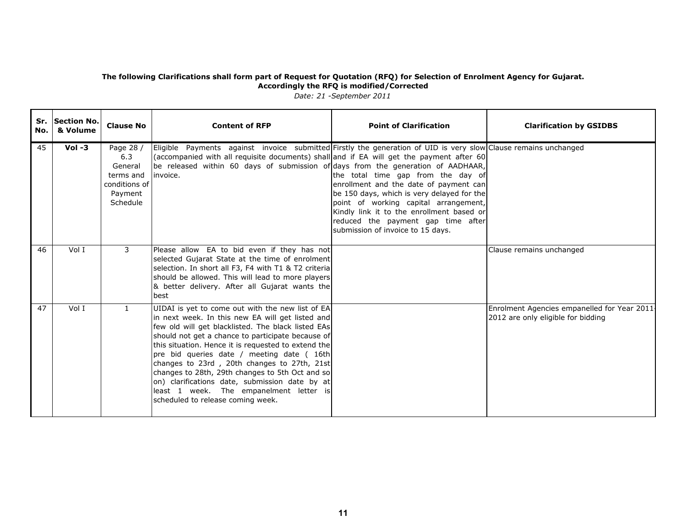| No. | Sr. Section No.<br>& Volume | <b>Clause No</b>                                                                 | <b>Content of RFP</b>                                                                                                                                                                                                                                                                                                                                                                                                                                                                                                                                    | <b>Point of Clarification</b>                                                                                                                                                                                                                                                               | <b>Clarification by GSIDBS</b>                                                    |
|-----|-----------------------------|----------------------------------------------------------------------------------|----------------------------------------------------------------------------------------------------------------------------------------------------------------------------------------------------------------------------------------------------------------------------------------------------------------------------------------------------------------------------------------------------------------------------------------------------------------------------------------------------------------------------------------------------------|---------------------------------------------------------------------------------------------------------------------------------------------------------------------------------------------------------------------------------------------------------------------------------------------|-----------------------------------------------------------------------------------|
| 45  | $Vol -3$                    | Page 28 /<br>6.3<br>General<br>terms and<br>conditions of<br>Payment<br>Schedule | Eligible Payments against invoice submitted Firstly the generation of UID is very slow Clause remains unchanged<br>$\vert$ (accompanied with all requisite documents) shall $\vert$ and if EA will get the payment after 60<br>be released within 60 days of submission of days from the generation of AADHAAR,<br>invoice.                                                                                                                                                                                                                              | the total time gap from the day of<br>enrollment and the date of payment can<br>be 150 days, which is very delayed for the<br>point of working capital arrangement,<br>Kindly link it to the enrollment based or<br>reduced the payment gap time after<br>submission of invoice to 15 days. |                                                                                   |
| 46  | Vol I                       | 3                                                                                | Please allow EA to bid even if they has not<br>selected Gujarat State at the time of enrolment<br>selection. In short all F3, F4 with T1 & T2 criteria<br>should be allowed. This will lead to more players<br>& better delivery. After all Gujarat wants the<br>best                                                                                                                                                                                                                                                                                    |                                                                                                                                                                                                                                                                                             | Clause remains unchanged                                                          |
| 47  | Vol I                       | $\mathbf{1}$                                                                     | UIDAI is yet to come out with the new list of EA<br>in next week. In this new EA will get listed and<br>few old will get blacklisted. The black listed EAs<br>should not get a chance to participate because of<br>this situation. Hence it is requested to extend the<br>pre bid queries date / meeting date ( 16th<br>changes to 23rd, 20th changes to 27th, 21st<br>changes to 28th, 29th changes to 5th Oct and so<br>on) clarifications date, submission date by at<br>least 1 week. The empanelment letter is<br>scheduled to release coming week. |                                                                                                                                                                                                                                                                                             | Enrolment Agencies empanelled for Year 2011<br>2012 are only eligible for bidding |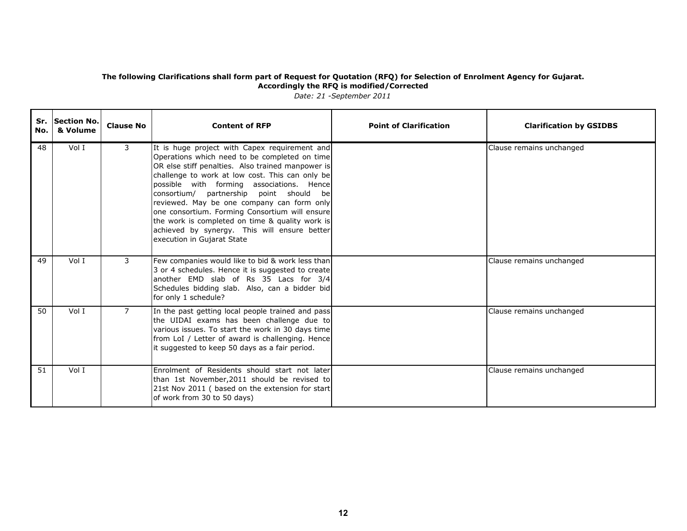| No. l | Sr. Section No.<br>& Volume | <b>Clause No</b> | <b>Content of RFP</b>                                                                                                                                                                                                                                                                                                                                                                                                                                                                                                           | <b>Point of Clarification</b> | <b>Clarification by GSIDBS</b> |
|-------|-----------------------------|------------------|---------------------------------------------------------------------------------------------------------------------------------------------------------------------------------------------------------------------------------------------------------------------------------------------------------------------------------------------------------------------------------------------------------------------------------------------------------------------------------------------------------------------------------|-------------------------------|--------------------------------|
| 48    | Vol I                       | 3                | It is huge project with Capex requirement and<br>Operations which need to be completed on time<br>OR else stiff penalties. Also trained manpower is<br>challenge to work at low cost. This can only be<br>possible with forming associations. Hence<br>consortium/ partnership point should be<br>reviewed. May be one company can form only<br>one consortium. Forming Consortium will ensure<br>the work is completed on time & quality work is<br>achieved by synergy. This will ensure better<br>execution in Gujarat State |                               | Clause remains unchanged       |
| 49    | Vol I                       | 3                | Few companies would like to bid & work less than<br>3 or 4 schedules. Hence it is suggested to create<br>another EMD slab of Rs 35 Lacs for 3/4<br>Schedules bidding slab. Also, can a bidder bid<br>for only 1 schedule?                                                                                                                                                                                                                                                                                                       |                               | Clause remains unchanged       |
| 50    | Vol I                       | $\overline{7}$   | In the past getting local people trained and pass<br>the UIDAI exams has been challenge due to<br>various issues. To start the work in 30 days time<br>from LoI / Letter of award is challenging. Hence<br>it suggested to keep 50 days as a fair period.                                                                                                                                                                                                                                                                       |                               | Clause remains unchanged       |
| 51    | Vol I                       |                  | Enrolment of Residents should start not later<br>than 1st November, 2011 should be revised to<br>21st Nov 2011 ( based on the extension for start<br>of work from 30 to 50 days)                                                                                                                                                                                                                                                                                                                                                |                               | Clause remains unchanged       |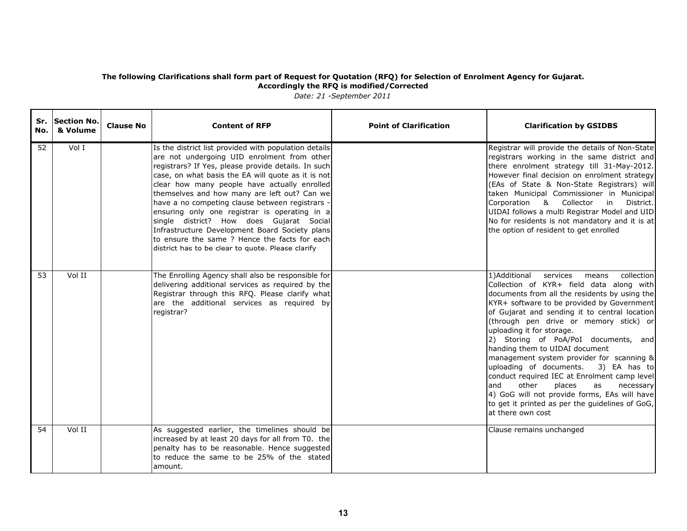| No. | Sr. Section No.<br>& Volume | <b>Clause No</b> | <b>Content of RFP</b>                                                                                                                                                                                                                                                                                                                                                                                                                                                                                                                                                                                                     | <b>Point of Clarification</b> | <b>Clarification by GSIDBS</b>                                                                                                                                                                                                                                                                                                                                                                                                                                                                                                                                                                                                                                                                            |
|-----|-----------------------------|------------------|---------------------------------------------------------------------------------------------------------------------------------------------------------------------------------------------------------------------------------------------------------------------------------------------------------------------------------------------------------------------------------------------------------------------------------------------------------------------------------------------------------------------------------------------------------------------------------------------------------------------------|-------------------------------|-----------------------------------------------------------------------------------------------------------------------------------------------------------------------------------------------------------------------------------------------------------------------------------------------------------------------------------------------------------------------------------------------------------------------------------------------------------------------------------------------------------------------------------------------------------------------------------------------------------------------------------------------------------------------------------------------------------|
| 52  | Vol I                       |                  | Is the district list provided with population details<br>are not undergoing UID enrolment from other<br>registrars? If Yes, please provide details. In such<br>case, on what basis the EA will quote as it is not<br>clear how many people have actually enrolled<br>themselves and how many are left out? Can we<br>have a no competing clause between registrars -<br>ensuring only one registrar is operating in a<br>single district? How does Gujarat Social<br>Infrastructure Development Board Society plans<br>to ensure the same ? Hence the facts for each<br>district has to be clear to quote. Please clarify |                               | Registrar will provide the details of Non-State<br>registrars working in the same district and<br>there enrolment strategy till 31-May-2012.<br>However final decision on enrolment strategy<br>(EAs of State & Non-State Registrars) will<br>taken Municipal Commissioner in Municipal<br>Corporation & Collector<br>District.<br>$\mathsf{in}$<br>UIDAI follows a multi Registrar Model and UID<br>No for residents is not mandatory and it is at<br>the option of resident to get enrolled                                                                                                                                                                                                             |
| 53  | Vol II                      |                  | The Enrolling Agency shall also be responsible for<br>delivering additional services as required by the<br>Registrar through this RFQ. Please clarify what<br>are the additional services as required by<br>registrar?                                                                                                                                                                                                                                                                                                                                                                                                    |                               | 1)Additional<br>collection<br>services<br>means<br>Collection of KYR+ field data along with<br>documents from all the residents by using the<br>KYR+ software to be provided by Government<br>of Gujarat and sending it to central location<br>(through pen drive or memory stick) or<br>uploading it for storage.<br>2) Storing of PoA/PoI documents, and<br>handing them to UIDAI document<br>management system provider for scanning &<br>uploading of documents.<br>3) EA has to<br>conduct required IEC at Enrolment camp level<br>and<br>other<br>places<br>as<br>necessary<br>4) GoG will not provide forms, EAs will have<br>to get it printed as per the guidelines of GoG,<br>at there own cost |
| 54  | Vol II                      |                  | As suggested earlier, the timelines should be<br>increased by at least 20 days for all from T0. the<br>penalty has to be reasonable. Hence suggested<br>to reduce the same to be 25% of the stated<br>amount.                                                                                                                                                                                                                                                                                                                                                                                                             |                               | Clause remains unchanged                                                                                                                                                                                                                                                                                                                                                                                                                                                                                                                                                                                                                                                                                  |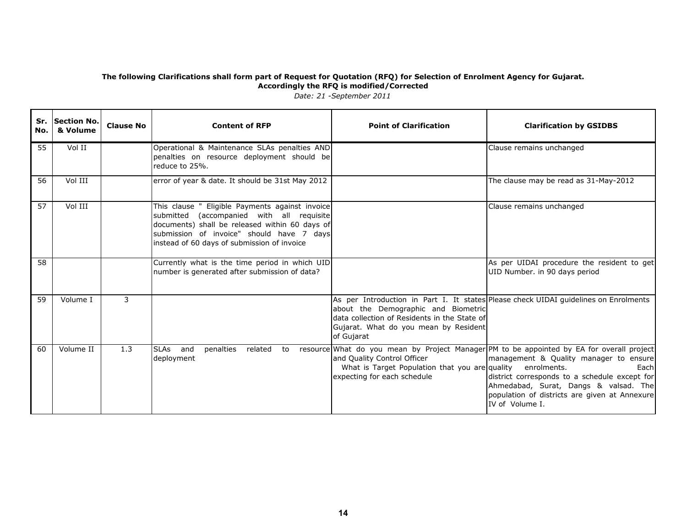| No. | Sr. Section No.<br>& Volume | <b>Clause No</b> | <b>Content of RFP</b>                                                                                                                                                                                                                      | <b>Point of Clarification</b>                                                                                                              | <b>Clarification by GSIDBS</b>                                                                                                                                                                                                                                                                            |
|-----|-----------------------------|------------------|--------------------------------------------------------------------------------------------------------------------------------------------------------------------------------------------------------------------------------------------|--------------------------------------------------------------------------------------------------------------------------------------------|-----------------------------------------------------------------------------------------------------------------------------------------------------------------------------------------------------------------------------------------------------------------------------------------------------------|
| 55  | Vol II                      |                  | Operational & Maintenance SLAs penalties AND<br>penalties on resource deployment should be<br>reduce to 25%.                                                                                                                               |                                                                                                                                            | Clause remains unchanged                                                                                                                                                                                                                                                                                  |
| 56  | Vol III                     |                  | error of year & date. It should be 31st May 2012                                                                                                                                                                                           |                                                                                                                                            | The clause may be read as 31-May-2012                                                                                                                                                                                                                                                                     |
| 57  | Vol III                     |                  | This clause " Eligible Payments against invoice<br>submitted (accompanied with all requisite<br>documents) shall be released within 60 days of<br>submission of invoice" should have 7 days<br>instead of 60 days of submission of invoice |                                                                                                                                            | Clause remains unchanged                                                                                                                                                                                                                                                                                  |
| 58  |                             |                  | Currently what is the time period in which UID<br>number is generated after submission of data?                                                                                                                                            |                                                                                                                                            | As per UIDAI procedure the resident to get<br>UID Number. in 90 days period                                                                                                                                                                                                                               |
| 59  | Volume I                    | 3                |                                                                                                                                                                                                                                            | about the Demographic and Biometric<br>data collection of Residents in the State of<br>Gujarat. What do you mean by Resident<br>of Gujarat | As per Introduction in Part I. It states Please check UIDAI quidelines on Enrolments                                                                                                                                                                                                                      |
| 60  | Volume II                   | 1.3              | SLAs and<br>penalties related to<br>deployment                                                                                                                                                                                             | and Quality Control Officer<br>What is Target Population that you are quality enrolments.<br>expecting for each schedule                   | resource What do you mean by Project Manager PM to be appointed by EA for overall project<br>management & Quality manager to ensure<br>Each<br>district corresponds to a schedule except for<br>Ahmedabad, Surat, Dangs & valsad. The<br>population of districts are given at Annexure<br>IV of Volume I. |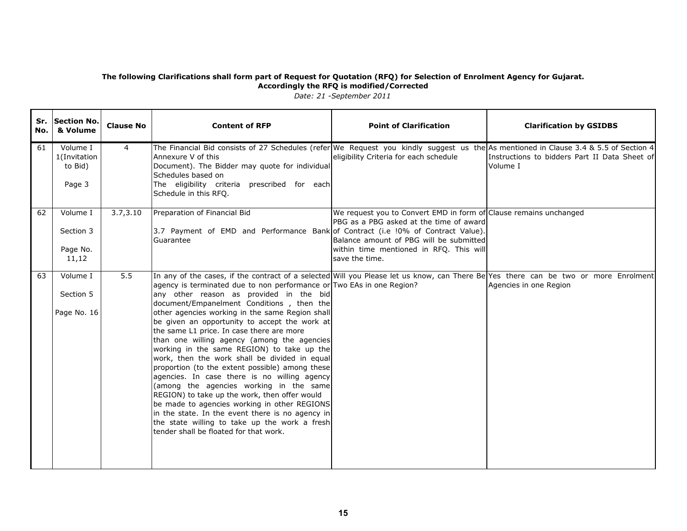| No. | Sr. Section No.<br>& Volume                   | <b>Clause No</b> | <b>Content of RFP</b>                                                                                                                                                                                                                                                                                                                                                                                                                                                                                                                                                                                                                                                                                                                                                                                                                                                                                                                                                                             | <b>Point of Clarification</b>                                                                                                                                                                                        | <b>Clarification by GSIDBS</b>                            |
|-----|-----------------------------------------------|------------------|---------------------------------------------------------------------------------------------------------------------------------------------------------------------------------------------------------------------------------------------------------------------------------------------------------------------------------------------------------------------------------------------------------------------------------------------------------------------------------------------------------------------------------------------------------------------------------------------------------------------------------------------------------------------------------------------------------------------------------------------------------------------------------------------------------------------------------------------------------------------------------------------------------------------------------------------------------------------------------------------------|----------------------------------------------------------------------------------------------------------------------------------------------------------------------------------------------------------------------|-----------------------------------------------------------|
| 61  | Volume I<br>1(Invitation<br>to Bid)<br>Page 3 | 4                | The Financial Bid consists of 27 Schedules (refer We Request you kindly suggest us the As mentioned in Clause 3.4 & 5.5 of Section 4<br>Annexure V of this<br>Document). The Bidder may quote for individual<br>Schedules based on<br>The eligibility criteria prescribed for each<br>Schedule in this RFQ.                                                                                                                                                                                                                                                                                                                                                                                                                                                                                                                                                                                                                                                                                       | eligibility Criteria for each schedule                                                                                                                                                                               | Instructions to bidders Part II Data Sheet of<br>Volume I |
| 62  | Volume I<br>Section 3<br>Page No.<br>11,12    | 3.7, 3.10        | Preparation of Financial Bid<br>3.7 Payment of EMD and Performance Bank of Contract (i.e !0% of Contract Value).<br>Guarantee                                                                                                                                                                                                                                                                                                                                                                                                                                                                                                                                                                                                                                                                                                                                                                                                                                                                     | We request you to Convert EMD in form of Clause remains unchanged<br>PBG as a PBG asked at the time of award<br>Balance amount of PBG will be submitted<br>within time mentioned in RFQ. This will<br>save the time. |                                                           |
| 63  | Volume I<br>Section 5<br>Page No. 16          | 5.5              | In any of the cases, if the contract of a selected Will you Please let us know, can There Be Yes there can be two or more Enrolment<br>agency is terminated due to non performance or Two EAs in one Region?<br>any other reason as provided in the bid<br>document/Empanelment Conditions, then the<br>other agencies working in the same Region shall<br>be given an opportunity to accept the work at<br>the same L1 price. In case there are more<br>than one willing agency (among the agencies<br>working in the same REGION) to take up the<br>work, then the work shall be divided in equal<br>proportion (to the extent possible) among these<br>agencies. In case there is no willing agency<br>(among the agencies working in the same<br>REGION) to take up the work, then offer would<br>be made to agencies working in other REGIONS<br>in the state. In the event there is no agency in<br>the state willing to take up the work a fresh<br>tender shall be floated for that work. |                                                                                                                                                                                                                      | Agencies in one Region                                    |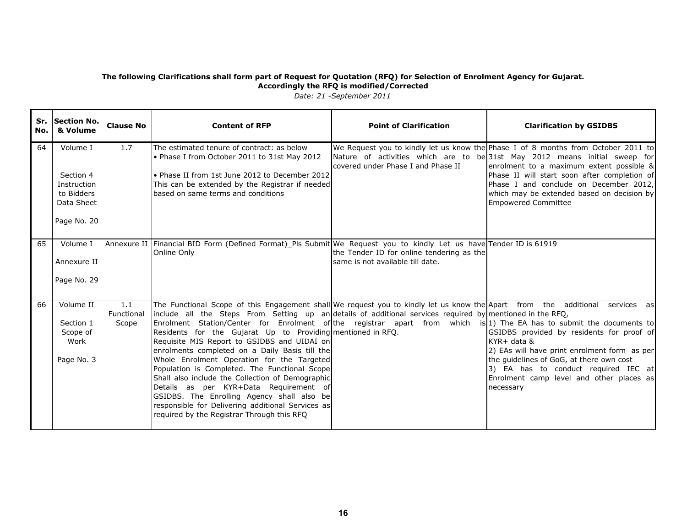| Sr.<br>No. | Section No.<br>& Volume                                                         | <b>Clause No</b>           | <b>Content of RFP</b>                                                                                                                                                                                                                                                                                                                                                                                                                                                                                                                                                                                                                                                                                                                                                                                                                                                           | <b>Point of Clarification</b>                                                  | <b>Clarification by GSIDBS</b>                                                                                                                                                                                                                                                                                                                                                    |
|------------|---------------------------------------------------------------------------------|----------------------------|---------------------------------------------------------------------------------------------------------------------------------------------------------------------------------------------------------------------------------------------------------------------------------------------------------------------------------------------------------------------------------------------------------------------------------------------------------------------------------------------------------------------------------------------------------------------------------------------------------------------------------------------------------------------------------------------------------------------------------------------------------------------------------------------------------------------------------------------------------------------------------|--------------------------------------------------------------------------------|-----------------------------------------------------------------------------------------------------------------------------------------------------------------------------------------------------------------------------------------------------------------------------------------------------------------------------------------------------------------------------------|
| 64         | Volume I<br>Section 4<br>Instruction<br>to Bidders<br>Data Sheet<br>Page No. 20 | 1.7                        | The estimated tenure of contract: as below<br>• Phase I from October 2011 to 31st May 2012<br>• Phase II from 1st June 2012 to December 2012<br>This can be extended by the Registrar if needed<br>based on same terms and conditions                                                                                                                                                                                                                                                                                                                                                                                                                                                                                                                                                                                                                                           | covered under Phase I and Phase II                                             | We Request you to kindly let us know the Phase I of 8 months from October 2011 to<br>Nature of activities which are to be 31st May 2012 means initial sweep for<br>enrolment to a maximum extent possible &<br>Phase II will start soon after completion of<br>Phase I and conclude on December 2012,<br>which may be extended based on decision by<br><b>Empowered Committee</b> |
| 65         | Volume I<br>Annexure II<br>Page No. 29                                          |                            | Annexure II Financial BID Form (Defined Format) Pls Submit We Request you to kindly Let us have Tender ID is 61919<br>Online Only                                                                                                                                                                                                                                                                                                                                                                                                                                                                                                                                                                                                                                                                                                                                               | the Tender ID for online tendering as the<br>Isame is not available till date. |                                                                                                                                                                                                                                                                                                                                                                                   |
| 66         | Volume II<br>Section 1<br>Scope of<br>Work<br>Page No. 3                        | 1.1<br>Functional<br>Scope | The Functional Scope of this Engagement shall We request you to kindly let us know the Apart from the additional services as<br>include all the Steps From Setting up an details of additional services required by mentioned in the RFQ,<br>Enrolment Station/Center for Enrolment of the registrar apart from which is 1) The EA has to submit the documents to<br>Residents for the Gujarat Up to Providing mentioned in RFQ.<br>Requisite MIS Report to GSIDBS and UIDAI on<br>enrolments completed on a Daily Basis till the<br>Whole Enrolment Operation for the Targeted<br>Population is Completed. The Functional Scope<br>Shall also include the Collection of Demographic<br>Details as per KYR+Data Requirement of<br>GSIDBS. The Enrolling Agency shall also be<br>responsible for Delivering additional Services as<br>required by the Registrar Through this RFQ |                                                                                | GSIDBS provided by residents for proof of<br>$KYR + data &$<br>2) EAs will have print enrolment form as per<br>the guidelines of GoG, at there own cost<br>3) EA has to conduct required IEC at<br>Enrolment camp level and other places as<br>necessary                                                                                                                          |